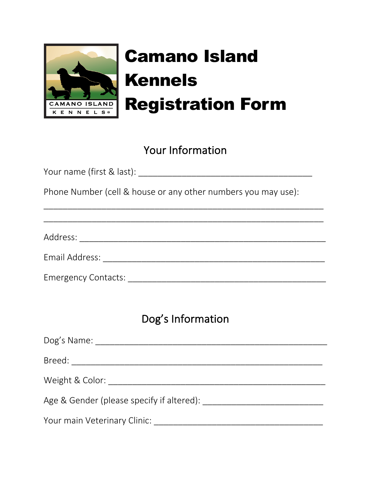

## Camano Island Kennels Registration Form

## Your Information

| Phone Number (cell & house or any other numbers you may use): |
|---------------------------------------------------------------|
|                                                               |
|                                                               |
|                                                               |
|                                                               |
|                                                               |
| Dog's Information                                             |
|                                                               |
|                                                               |
|                                                               |
|                                                               |
|                                                               |